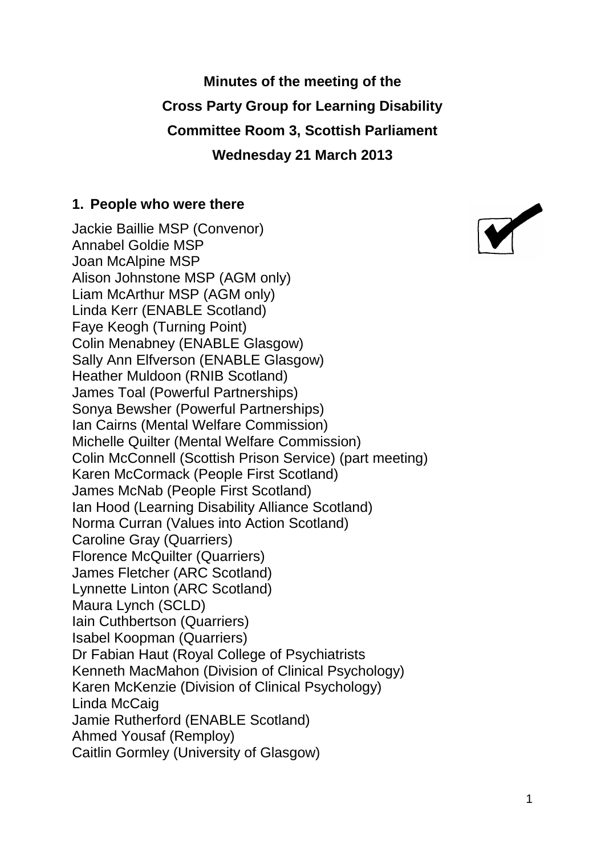**Minutes of the meeting of the Cross Party Group for Learning Disability Committee Room 3, Scottish Parliament Wednesday 21 March 2013**

#### **1. People who were there**

Jackie Baillie MSP (Convenor) Annabel Goldie MSP Joan McAlpine MSP Alison Johnstone MSP (AGM only) Liam McArthur MSP (AGM only) Linda Kerr (ENABLE Scotland) Faye Keogh (Turning Point) Colin Menabney (ENABLE Glasgow) Sally Ann Elfverson (ENABLE Glasgow) Heather Muldoon (RNIB Scotland) James Toal (Powerful Partnerships) Sonya Bewsher (Powerful Partnerships) Ian Cairns (Mental Welfare Commission) Michelle Quilter (Mental Welfare Commission) Colin McConnell (Scottish Prison Service) (part meeting) Karen McCormack (People First Scotland) James McNab (People First Scotland) Ian Hood (Learning Disability Alliance Scotland) Norma Curran (Values into Action Scotland) Caroline Gray (Quarriers) Florence McQuilter (Quarriers) James Fletcher (ARC Scotland) Lynnette Linton (ARC Scotland) Maura Lynch (SCLD) Iain Cuthbertson (Quarriers) Isabel Koopman (Quarriers) Dr Fabian Haut (Royal College of Psychiatrists Kenneth MacMahon (Division of Clinical Psychology) Karen McKenzie (Division of Clinical Psychology) Linda McCaig Jamie Rutherford (ENABLE Scotland) Ahmed Yousaf (Remploy) Caitlin Gormley (University of Glasgow)

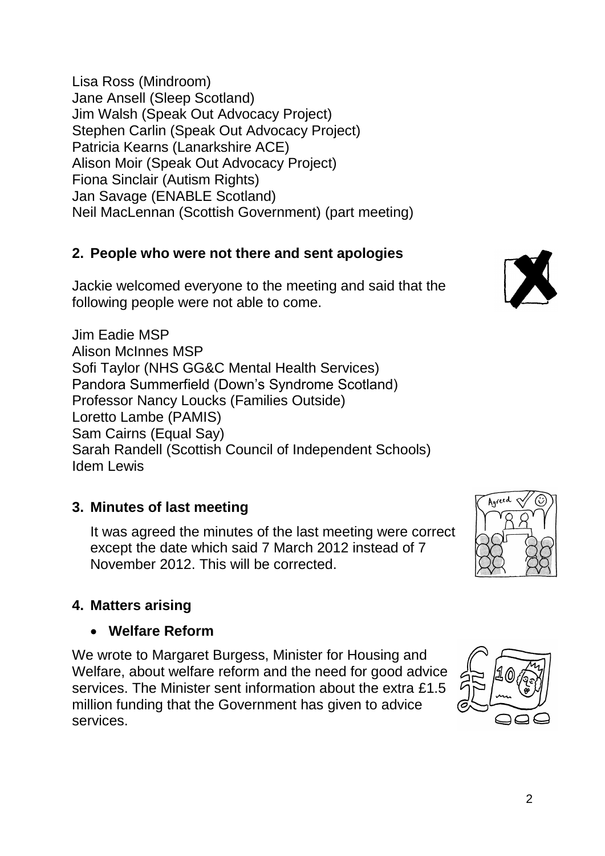Lisa Ross (Mindroom) Jane Ansell (Sleep Scotland) Jim Walsh (Speak Out Advocacy Project) Stephen Carlin (Speak Out Advocacy Project) Patricia Kearns (Lanarkshire ACE) Alison Moir (Speak Out Advocacy Project) Fiona Sinclair (Autism Rights) Jan Savage (ENABLE Scotland) Neil MacLennan (Scottish Government) (part meeting)

## **2. People who were not there and sent apologies**

Jackie welcomed everyone to the meeting and said that the following people were not able to come.

Jim Eadie MSP Alison McInnes MSP Sofi Taylor (NHS GG&C Mental Health Services) Pandora Summerfield (Down's Syndrome Scotland) Professor Nancy Loucks (Families Outside) Loretto Lambe (PAMIS) Sam Cairns (Equal Say) Sarah Randell (Scottish Council of Independent Schools) Idem Lewis

# **3. Minutes of last meeting**

It was agreed the minutes of the last meeting were correct except the date which said 7 March 2012 instead of 7 November 2012. This will be corrected.

# **4. Matters arising**

## **Welfare Reform**

We wrote to Margaret Burgess, Minister for Housing and Welfare, about welfare reform and the need for good advice services. The Minister sent information about the extra £1.5 million funding that the Government has given to advice services.





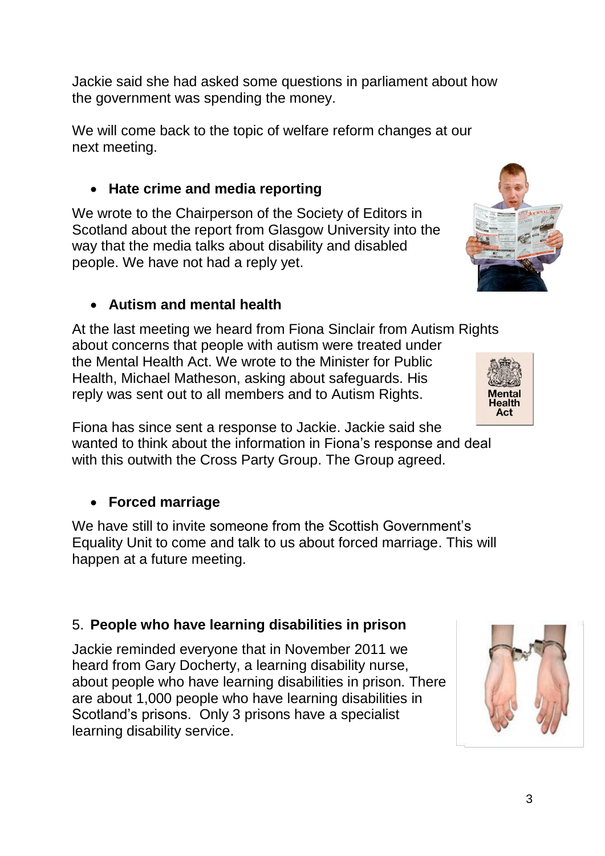Jackie said she had asked some questions in parliament about how the government was spending the money.

We will come back to the topic of welfare reform changes at our next meeting.

## **Hate crime and media reporting**

We wrote to the Chairperson of the Society of Editors in Scotland about the report from Glasgow University into the way that the media talks about disability and disabled people. We have not had a reply yet.

## **Autism and mental health**

At the last meeting we heard from Fiona Sinclair from Autism Rights about concerns that people with autism were treated under the Mental Health Act. We wrote to the Minister for Public Health, Michael Matheson, asking about safeguards. His reply was sent out to all members and to Autism Rights.

Fiona has since sent a response to Jackie. Jackie said she wanted to think about the information in Fiona's response and deal with this outwith the Cross Party Group. The Group agreed.

# **Forced marriage**

We have still to invite someone from the Scottish Government's Equality Unit to come and talk to us about forced marriage. This will happen at a future meeting.

## 5. **People who have learning disabilities in prison**

Jackie reminded everyone that in November 2011 we heard from Gary Docherty, a learning disability nurse, about people who have learning disabilities in prison. There are about 1,000 people who have learning disabilities in Scotland's prisons. Only 3 prisons have a specialist learning disability service.



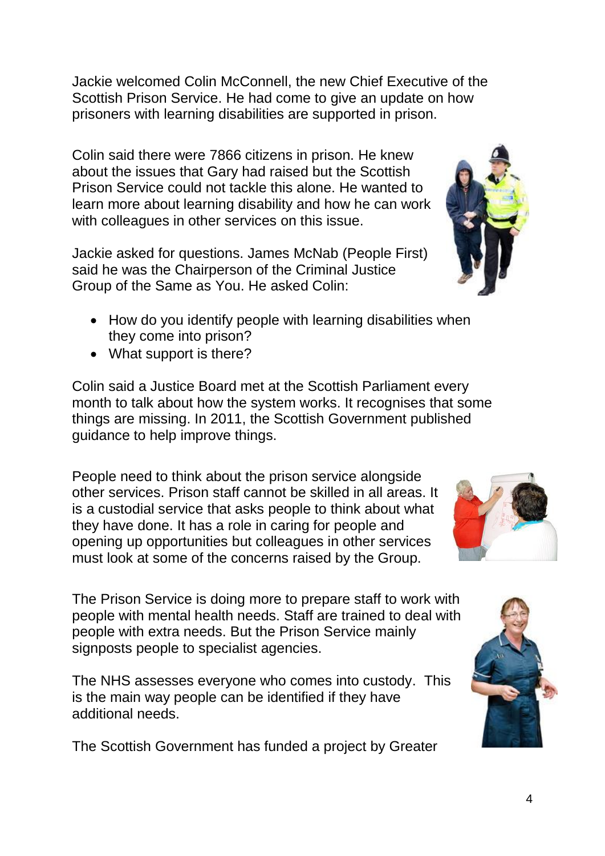Jackie welcomed Colin McConnell, the new Chief Executive of the Scottish Prison Service. He had come to give an update on how prisoners with learning disabilities are supported in prison.

Colin said there were 7866 citizens in prison. He knew about the issues that Gary had raised but the Scottish Prison Service could not tackle this alone. He wanted to learn more about learning disability and how he can work with colleagues in other services on this issue.

Jackie asked for questions. James McNab (People First) said he was the Chairperson of the Criminal Justice Group of the Same as You. He asked Colin:

- How do you identify people with learning disabilities when they come into prison?
- What support is there?

Colin said a Justice Board met at the Scottish Parliament every month to talk about how the system works. It recognises that some things are missing. In 2011, the Scottish Government published guidance to help improve things.

People need to think about the prison service alongside other services. Prison staff cannot be skilled in all areas. It is a custodial service that asks people to think about what they have done. It has a role in caring for people and opening up opportunities but colleagues in other services must look at some of the concerns raised by the Group.

The Prison Service is doing more to prepare staff to work with people with mental health needs. Staff are trained to deal with people with extra needs. But the Prison Service mainly signposts people to specialist agencies.

The NHS assesses everyone who comes into custody. This is the main way people can be identified if they have additional needs.

The Scottish Government has funded a project by Greater





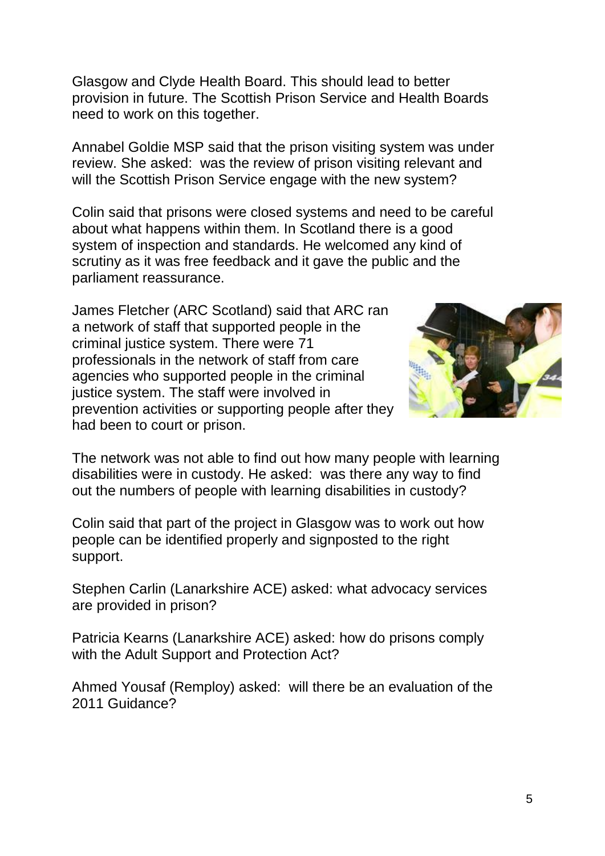Glasgow and Clyde Health Board. This should lead to better provision in future. The Scottish Prison Service and Health Boards need to work on this together.

Annabel Goldie MSP said that the prison visiting system was under review. She asked: was the review of prison visiting relevant and will the Scottish Prison Service engage with the new system?

Colin said that prisons were closed systems and need to be careful about what happens within them. In Scotland there is a good system of inspection and standards. He welcomed any kind of scrutiny as it was free feedback and it gave the public and the parliament reassurance.

James Fletcher (ARC Scotland) said that ARC ran a network of staff that supported people in the criminal justice system. There were 71 professionals in the network of staff from care agencies who supported people in the criminal justice system. The staff were involved in prevention activities or supporting people after they had been to court or prison.



The network was not able to find out how many people with learning disabilities were in custody. He asked: was there any way to find out the numbers of people with learning disabilities in custody?

Colin said that part of the project in Glasgow was to work out how people can be identified properly and signposted to the right support.

Stephen Carlin (Lanarkshire ACE) asked: what advocacy services are provided in prison?

Patricia Kearns (Lanarkshire ACE) asked: how do prisons comply with the Adult Support and Protection Act?

Ahmed Yousaf (Remploy) asked: will there be an evaluation of the 2011 Guidance?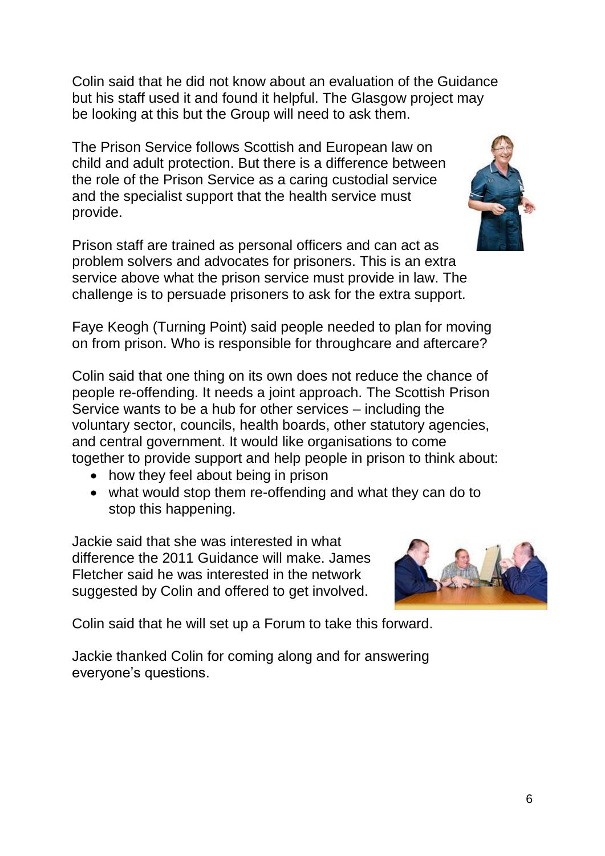Colin said that he did not know about an evaluation of the Guidance but his staff used it and found it helpful. The Glasgow project may be looking at this but the Group will need to ask them.

The Prison Service follows Scottish and European law on child and adult protection. But there is a difference between the role of the Prison Service as a caring custodial service and the specialist support that the health service must provide.

Prison staff are trained as personal officers and can act as problem solvers and advocates for prisoners. This is an extra service above what the prison service must provide in law. The challenge is to persuade prisoners to ask for the extra support.

Faye Keogh (Turning Point) said people needed to plan for moving on from prison. Who is responsible for throughcare and aftercare?

Colin said that one thing on its own does not reduce the chance of people re-offending. It needs a joint approach. The Scottish Prison Service wants to be a hub for other services – including the voluntary sector, councils, health boards, other statutory agencies, and central government. It would like organisations to come together to provide support and help people in prison to think about:

- how they feel about being in prison
- what would stop them re-offending and what they can do to stop this happening.

Jackie said that she was interested in what difference the 2011 Guidance will make. James Fletcher said he was interested in the network suggested by Colin and offered to get involved.

Colin said that he will set up a Forum to take this forward.

Jackie thanked Colin for coming along and for answering everyone's questions.



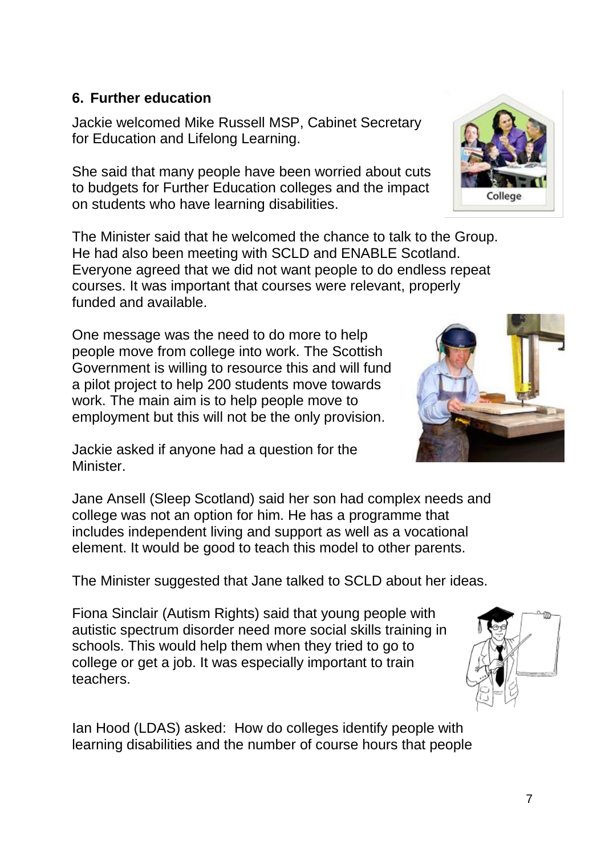### **6. Further education**

Jackie welcomed Mike Russell MSP, Cabinet Secretary for Education and Lifelong Learning.

She said that many people have been worried about cuts to budgets for Further Education colleges and the impact on students who have learning disabilities.

The Minister said that he welcomed the chance to talk to the Group. He had also been meeting with SCLD and ENABLE Scotland. Everyone agreed that we did not want people to do endless repeat courses. It was important that courses were relevant, properly funded and available.

One message was the need to do more to help people move from college into work. The Scottish Government is willing to resource this and will fund a pilot project to help 200 students move towards work. The main aim is to help people move to employment but this will not be the only provision.

Jackie asked if anyone had a question for the Minister.

Jane Ansell (Sleep Scotland) said her son had complex needs and college was not an option for him. He has a programme that includes independent living and support as well as a vocational element. It would be good to teach this model to other parents.

The Minister suggested that Jane talked to SCLD about her ideas.

Fiona Sinclair (Autism Rights) said that young people with autistic spectrum disorder need more social skills training in schools. This would help them when they tried to go to college or get a job. It was especially important to train teachers.

Ian Hood (LDAS) asked: How do colleges identify people with learning disabilities and the number of course hours that people







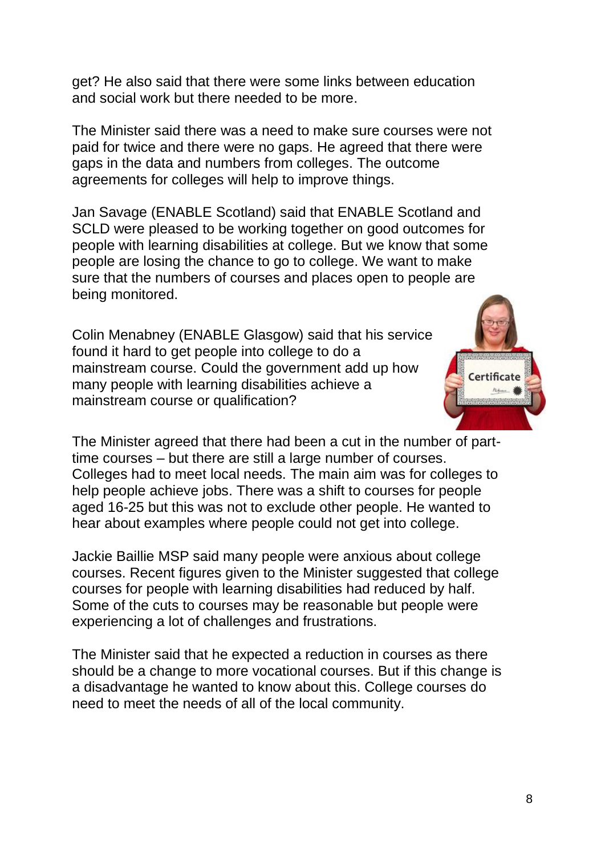get? He also said that there were some links between education and social work but there needed to be more.

The Minister said there was a need to make sure courses were not paid for twice and there were no gaps. He agreed that there were gaps in the data and numbers from colleges. The outcome agreements for colleges will help to improve things.

Jan Savage (ENABLE Scotland) said that ENABLE Scotland and SCLD were pleased to be working together on good outcomes for people with learning disabilities at college. But we know that some people are losing the chance to go to college. We want to make sure that the numbers of courses and places open to people are being monitored.

Colin Menabney (ENABLE Glasgow) said that his service found it hard to get people into college to do a mainstream course. Could the government add up how many people with learning disabilities achieve a mainstream course or qualification?



The Minister agreed that there had been a cut in the number of parttime courses – but there are still a large number of courses. Colleges had to meet local needs. The main aim was for colleges to help people achieve jobs. There was a shift to courses for people aged 16-25 but this was not to exclude other people. He wanted to hear about examples where people could not get into college.

Jackie Baillie MSP said many people were anxious about college courses. Recent figures given to the Minister suggested that college courses for people with learning disabilities had reduced by half. Some of the cuts to courses may be reasonable but people were experiencing a lot of challenges and frustrations.

The Minister said that he expected a reduction in courses as there should be a change to more vocational courses. But if this change is a disadvantage he wanted to know about this. College courses do need to meet the needs of all of the local community.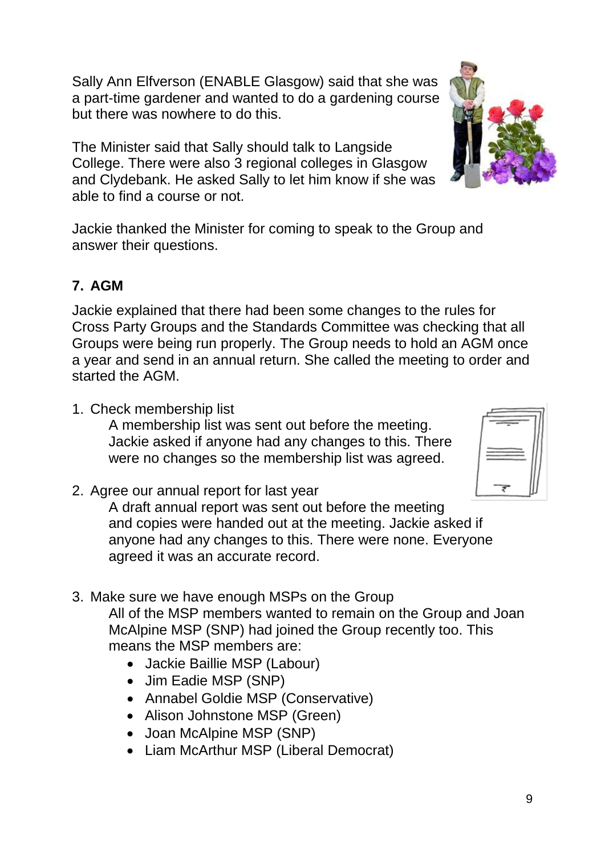Sally Ann Elfverson (ENABLE Glasgow) said that she was a part-time gardener and wanted to do a gardening course but there was nowhere to do this.

The Minister said that Sally should talk to Langside College. There were also 3 regional colleges in Glasgow and Clydebank. He asked Sally to let him know if she was able to find a course or not.

Jackie thanked the Minister for coming to speak to the Group and answer their questions.

## **7. AGM**

Jackie explained that there had been some changes to the rules for Cross Party Groups and the Standards Committee was checking that all Groups were being run properly. The Group needs to hold an AGM once a year and send in an annual return. She called the meeting to order and started the AGM.

1. Check membership list

A membership list was sent out before the meeting. Jackie asked if anyone had any changes to this. There were no changes so the membership list was agreed.

2. Agree our annual report for last year

A draft annual report was sent out before the meeting and copies were handed out at the meeting. Jackie asked if anyone had any changes to this. There were none. Everyone agreed it was an accurate record.

3. Make sure we have enough MSPs on the Group

All of the MSP members wanted to remain on the Group and Joan McAlpine MSP (SNP) had joined the Group recently too. This means the MSP members are:

- Jackie Baillie MSP (Labour)
- Jim Eadie MSP (SNP)
- Annabel Goldie MSP (Conservative)
- Alison Johnstone MSP (Green)
- Joan McAlpine MSP (SNP)
- Liam McArthur MSP (Liberal Democrat)



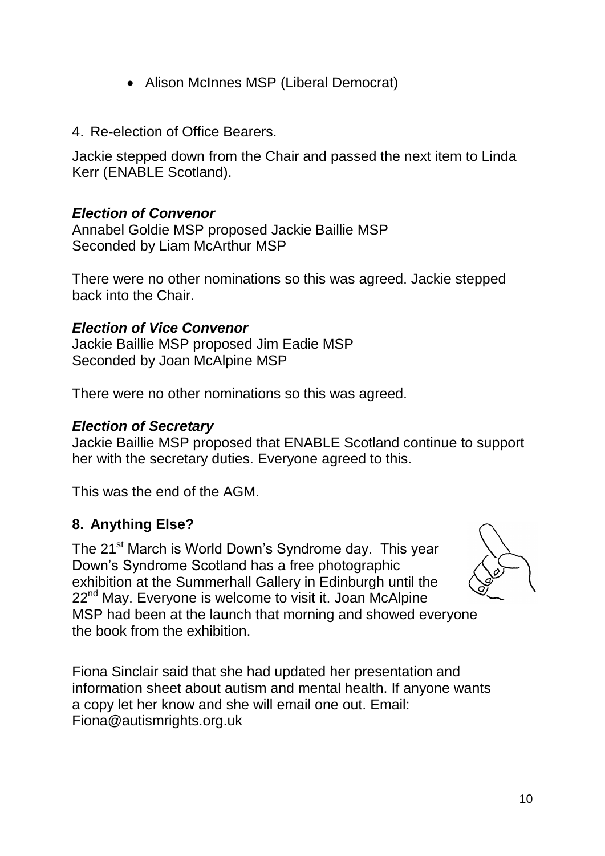- Alison McInnes MSP (Liberal Democrat)
- 4. Re-election of Office Bearers.

Jackie stepped down from the Chair and passed the next item to Linda Kerr (ENABLE Scotland).

#### *Election of Convenor*

Annabel Goldie MSP proposed Jackie Baillie MSP Seconded by Liam McArthur MSP

There were no other nominations so this was agreed. Jackie stepped back into the Chair.

#### *Election of Vice Convenor*

Jackie Baillie MSP proposed Jim Eadie MSP Seconded by Joan McAlpine MSP

There were no other nominations so this was agreed.

#### *Election of Secretary*

Jackie Baillie MSP proposed that ENABLE Scotland continue to support her with the secretary duties. Everyone agreed to this.

This was the end of the AGM.

#### **8. Anything Else?**

The 21<sup>st</sup> March is World Down's Syndrome day. This year Down's Syndrome Scotland has a free photographic exhibition at the Summerhall Gallery in Edinburgh until the 22<sup>nd</sup> May. Everyone is welcome to visit it. Joan McAlpine MSP had been at the launch that morning and showed everyone the book from the exhibition.



Fiona Sinclair said that she had updated her presentation and information sheet about autism and mental health. If anyone wants a copy let her know and she will email one out. Email: Fiona@autismrights.org.uk